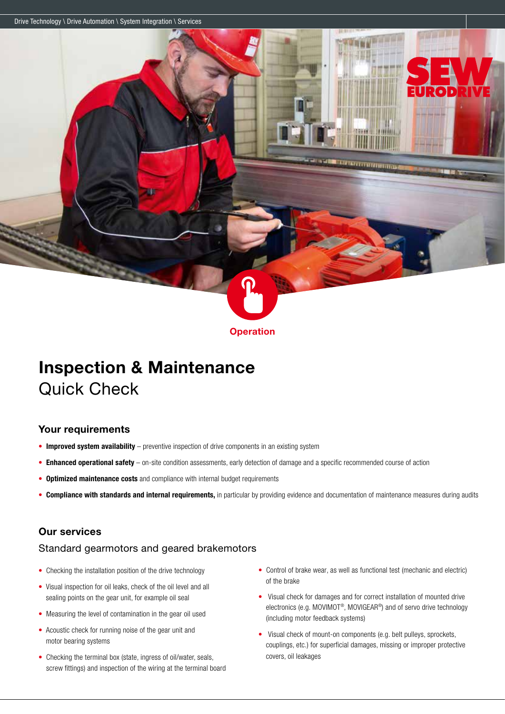Drive Technology \ Drive Automation \ System Integration \ Services



# Inspection & Maintenance Quick Check

## Your requirements

- Improved system availability preventive inspection of drive components in an existing system
- Enhanced operational safety on-site condition assessments, early detection of damage and a specific recommended course of action
- Optimized maintenance costs and compliance with internal budget requirements
- Compliance with standards and internal requirements, in particular by providing evidence and documentation of maintenance measures during audits

## Our services

#### Standard gearmotors and geared brakemotors

- Checking the installation position of the drive technology
- Visual inspection for oil leaks, check of the oil level and all sealing points on the gear unit, for example oil seal
- Measuring the level of contamination in the gear oil used
- Acoustic check for running noise of the gear unit and motor bearing systems
- Checking the terminal box (state, ingress of oil/water, seals, screw fittings) and inspection of the wiring at the terminal board

• Control of brake wear, as well as functional test (mechanic and electric) of the brake

le presentation de la constancia

**THE REAL PROPERTY** 

 $\cdot$ io **D** 

- Visual check for damages and for correct installation of mounted drive electronics (e.g. MOVIMOT®, MOVIGEAR®) and of servo drive technology (including motor feedback systems)
- Visual check of mount-on components (e.g. belt pulleys, sprockets, couplings, etc.) for superficial damages, missing or improper protective covers, oil leakages